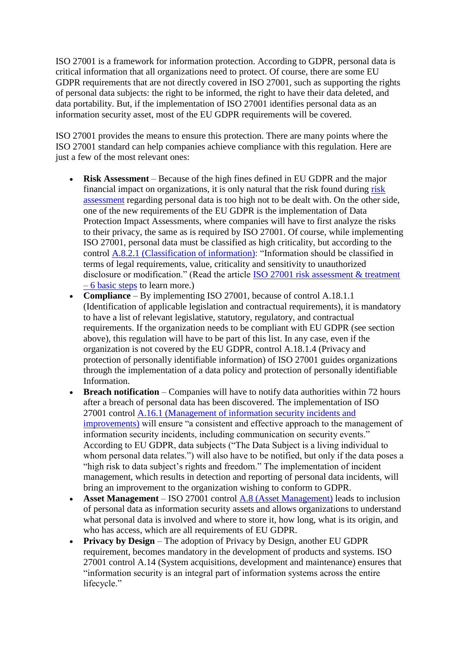ISO 27001 is a framework for information protection. According to GDPR, personal data is critical information that all organizations need to protect. Of course, there are some EU GDPR requirements that are not directly covered in ISO 27001, such as supporting the rights of personal data subjects: the right to be informed, the right to have their data deleted, and data portability. But, if the implementation of ISO 27001 identifies personal data as an information security asset, most of the EU GDPR requirements will be covered.

ISO 27001 provides the means to ensure this protection. There are many points where the ISO 27001 standard can help companies achieve compliance with this regulation. Here are just a few of the most relevant ones:

- **Risk Assessment** Because of the high fines defined in EU GDPR and the major financial impact on organizations, it is only natural that the risk found during [risk](https://advisera.com/27001academy/documentation/risk-assessment-and-risk-treatment-methodology/?icn=paid-document-27001-risk-assessment-and-risk-treatment-methodology&ici=top-risk-assessment-txt)  [assessment](https://advisera.com/27001academy/documentation/risk-assessment-and-risk-treatment-methodology/?icn=paid-document-27001-risk-assessment-and-risk-treatment-methodology&ici=top-risk-assessment-txt) regarding personal data is too high not to be dealt with. On the other side, one of the new requirements of the EU GDPR is the implementation of Data Protection Impact Assessments, where companies will have to first analyze the risks to their privacy, the same as is required by ISO 27001. Of course, while implementing ISO 27001, personal data must be classified as high criticality, but according to the control [A.8.2.1 \(Classification of information\):](https://advisera.com/27001academy/documentation/information-classification-policy/?icn=paid-document-27001-information-classification-policy&ici=top-a-8-2-1-classification-of-information-txt) "Information should be classified in terms of legal requirements, value, criticality and sensitivity to unauthorized disclosure or modification." (Read the article [ISO 27001 risk assessment & treatment](https://advisera.com/27001academy/knowledgebase/iso-27001-risk-assessment-treatment-6-basic-steps/?icn=free-knowledgebase-27001&ici=top-iso-27001-risk-assessment-treatment-6-basic-steps-txt)  – [6 basic steps](https://advisera.com/27001academy/knowledgebase/iso-27001-risk-assessment-treatment-6-basic-steps/?icn=free-knowledgebase-27001&ici=top-iso-27001-risk-assessment-treatment-6-basic-steps-txt) to learn more.)
- **Compliance** By implementing ISO 27001, because of control A.18.1.1 (Identification of applicable legislation and contractual requirements), it is mandatory to have a list of relevant legislative, statutory, regulatory, and contractual requirements. If the organization needs to be compliant with EU GDPR (see section above), this regulation will have to be part of this list. In any case, even if the organization is not covered by the EU GDPR, control A.18.1.4 (Privacy and protection of personally identifiable information) of ISO 27001 guides organizations through the implementation of a data policy and protection of personally identifiable Information.
- **Breach notification** Companies will have to notify data authorities within 72 hours after a breach of personal data has been discovered. The implementation of ISO 27001 control [A.16.1 \(Management of information security incidents and](https://advisera.com/27001academy/documentation/incident-management-procedure/?icn=paid-document-27001-incident-management-procedure&ici=top-a-16-1-management-of-information-security-incidents-and-improvements-txt)  [improvements\)](https://advisera.com/27001academy/documentation/incident-management-procedure/?icn=paid-document-27001-incident-management-procedure&ici=top-a-16-1-management-of-information-security-incidents-and-improvements-txt) will ensure "a consistent and effective approach to the management of information security incidents, including communication on security events." According to EU GDPR, data subjects ("The Data Subject is a living individual to whom personal data relates.") will also have to be notified, but only if the data poses a "high risk to data subject's rights and freedom." The implementation of incident management, which results in detection and reporting of personal data incidents, will bring an improvement to the organization wishing to conform to GDPR.
- **Asset Management** ISO 27001 control [A.8 \(Asset Management\)](https://advisera.com/27001academy/documentation/inventory-of-assets/?icn=paid-document-27001-inventory-of-assets&ici=bottom-a-8-asset-management-txt) leads to inclusion of personal data as information security assets and allows organizations to understand what personal data is involved and where to store it, how long, what is its origin, and who has access, which are all requirements of EU GDPR.
- **Privacy by Design** The adoption of Privacy by Design, another EU GDPR requirement, becomes mandatory in the development of products and systems. ISO 27001 control A.14 (System acquisitions, development and maintenance) ensures that "information security is an integral part of information systems across the entire lifecycle."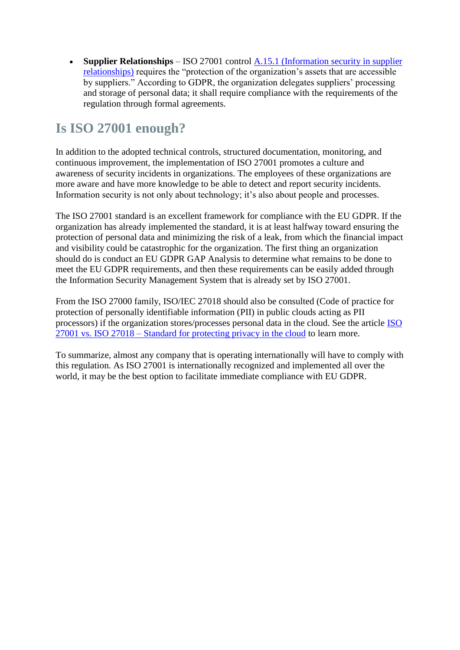• **Supplier Relationships** – ISO 27001 control A.15.1 (Information security in supplier [relationships\)](https://advisera.com/27001academy/documentation/security-clauses-for-suppliers-and-partners/?icn=paid-document-27001-security-clauses-for-suppliers-and-partners&ici=bottom-a-15-1-information-security-in-supplier-relationships-txt) requires the "protection of the organization's assets that are accessible by suppliers." According to GDPR, the organization delegates suppliers' processing and storage of personal data; it shall require compliance with the requirements of the regulation through formal agreements.

## **Is ISO 27001 enough?**

In addition to the adopted technical controls, structured documentation, monitoring, and continuous improvement, the implementation of ISO 27001 promotes a culture and awareness of security incidents in organizations. The employees of these organizations are more aware and have more knowledge to be able to detect and report security incidents. Information security is not only about technology; it's also about people and processes.

The ISO 27001 standard is an excellent framework for compliance with the EU GDPR. If the organization has already implemented the standard, it is at least halfway toward ensuring the protection of personal data and minimizing the risk of a leak, from which the financial impact and visibility could be catastrophic for the organization. The first thing an organization should do is conduct an EU GDPR GAP Analysis to determine what remains to be done to meet the EU GDPR requirements, and then these requirements can be easily added through the Information Security Management System that is already set by ISO 27001.

From the ISO 27000 family, ISO/IEC 27018 should also be consulted (Code of practice for protection of personally identifiable information (PII) in public clouds acting as PII processors) if the organization stores/processes personal data in the cloud. See the article [ISO](https://advisera.com/27001academy/blog/2015/11/16/iso-27001-vs-iso-27018-standard-for-protecting-privacy-in-the-cloud/?icn=free-blog-27001&ici=bottom-iso-27001-vs-iso-27018-standard-for-protecting-privacy-in-the-cloud-txt)  27001 vs. ISO 27018 – [Standard for protecting privacy in the cloud](https://advisera.com/27001academy/blog/2015/11/16/iso-27001-vs-iso-27018-standard-for-protecting-privacy-in-the-cloud/?icn=free-blog-27001&ici=bottom-iso-27001-vs-iso-27018-standard-for-protecting-privacy-in-the-cloud-txt) to learn more.

To summarize, almost any company that is operating internationally will have to comply with this regulation. As ISO 27001 is internationally recognized and implemented all over the world, it may be the best option to facilitate immediate compliance with EU GDPR.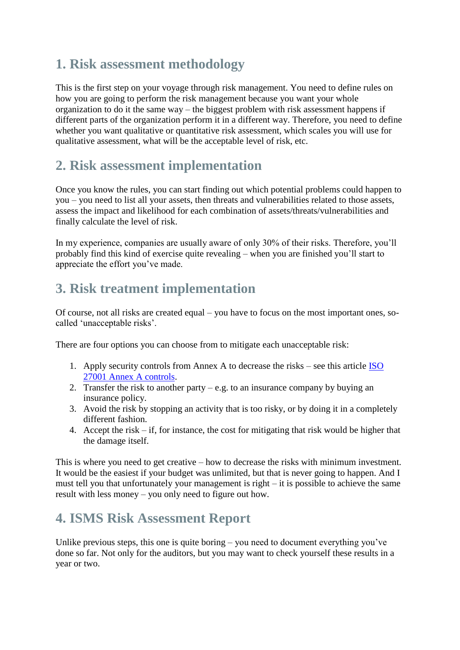## **1. Risk assessment methodology**

This is the first step on your voyage through risk management. You need to define rules on how you are going to perform the risk management because you want your whole organization to do it the same way – the biggest problem with risk assessment happens if different parts of the organization perform it in a different way. Therefore, you need to define whether you want qualitative or quantitative risk assessment, which scales you will use for qualitative assessment, what will be the acceptable level of risk, etc.

#### **2. Risk assessment implementation**

Once you know the rules, you can start finding out which potential problems could happen to you – you need to list all your assets, then threats and vulnerabilities related to those assets, assess the impact and likelihood for each combination of assets/threats/vulnerabilities and finally calculate the level of risk.

In my experience, companies are usually aware of only 30% of their risks. Therefore, you'll probably find this kind of exercise quite revealing – when you are finished you'll start to appreciate the effort you've made.

### **3. Risk treatment implementation**

Of course, not all risks are created equal – you have to focus on the most important ones, socalled 'unacceptable risks'.

There are four options you can choose from to mitigate each unacceptable risk:

- 1. Apply security controls from Annex A to decrease the risks see this article [ISO](https://advisera.com/27001academy/knowledgebase/overview-of-iso-270012013-annex-a/?icn=free-knowledgebase-27001&ici=top-iso-27001-annex-a-controls-txt)  [27001 Annex A controls.](https://advisera.com/27001academy/knowledgebase/overview-of-iso-270012013-annex-a/?icn=free-knowledgebase-27001&ici=top-iso-27001-annex-a-controls-txt)
- 2. Transfer the risk to another party e.g. to an insurance company by buying an insurance policy.
- 3. Avoid the risk by stopping an activity that is too risky, or by doing it in a completely different fashion.
- 4. Accept the risk if, for instance, the cost for mitigating that risk would be higher that the damage itself.

This is where you need to get creative – how to decrease the risks with minimum investment. It would be the easiest if your budget was unlimited, but that is never going to happen. And I must tell you that unfortunately your management is right – it is possible to achieve the same result with less money – you only need to figure out how.

### **4. ISMS Risk Assessment Report**

Unlike previous steps, this one is quite boring – you need to document everything you've done so far. Not only for the auditors, but you may want to check yourself these results in a year or two.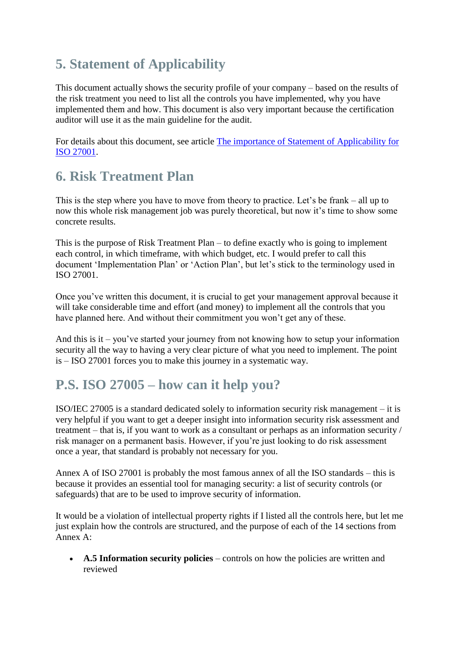# **5. Statement of Applicability**

This document actually shows the security profile of your company – based on the results of the risk treatment you need to list all the controls you have implemented, why you have implemented them and how. This document is also very important because the certification auditor will use it as the main guideline for the audit.

For details about this document, see article [The importance of Statement of Applicability for](https://advisera.com/27001academy/knowledgebase/the-importance-of-statement-of-applicability-for-iso-27001/?icn=free-knowledgebase-27001&ici=bottom-the-importance-of-statement-of-applicability-for-iso-27001-txt)  [ISO 27001.](https://advisera.com/27001academy/knowledgebase/the-importance-of-statement-of-applicability-for-iso-27001/?icn=free-knowledgebase-27001&ici=bottom-the-importance-of-statement-of-applicability-for-iso-27001-txt)

### **6. Risk Treatment Plan**

This is the step where you have to move from theory to practice. Let's be frank – all up to now this whole risk management job was purely theoretical, but now it's time to show some concrete results.

This is the purpose of Risk Treatment Plan – to define exactly who is going to implement each control, in which timeframe, with which budget, etc. I would prefer to call this document 'Implementation Plan' or 'Action Plan', but let's stick to the terminology used in ISO 27001.

Once you've written this document, it is crucial to get your management approval because it will take considerable time and effort (and money) to implement all the controls that you have planned here. And without their commitment you won't get any of these.

And this is it – you've started your journey from not knowing how to setup your information security all the way to having a very clear picture of what you need to implement. The point is – ISO 27001 forces you to make this journey in a systematic way.

### **P.S. ISO 27005 – how can it help you?**

ISO/IEC 27005 is a standard dedicated solely to information security risk management – it is very helpful if you want to get a deeper insight into information security risk assessment and treatment – that is, if you want to work as a consultant or perhaps as an information security / risk manager on a permanent basis. However, if you're just looking to do risk assessment once a year, that standard is probably not necessary for you.

Annex A of ISO 27001 is probably the most famous annex of all the ISO standards – this is because it provides an essential tool for managing security: a list of security controls (or safeguards) that are to be used to improve security of information.

It would be a violation of intellectual property rights if I listed all the controls here, but let me just explain how the controls are structured, and the purpose of each of the 14 sections from Annex A:

• **A.5 Information security policies** – controls on how the policies are written and reviewed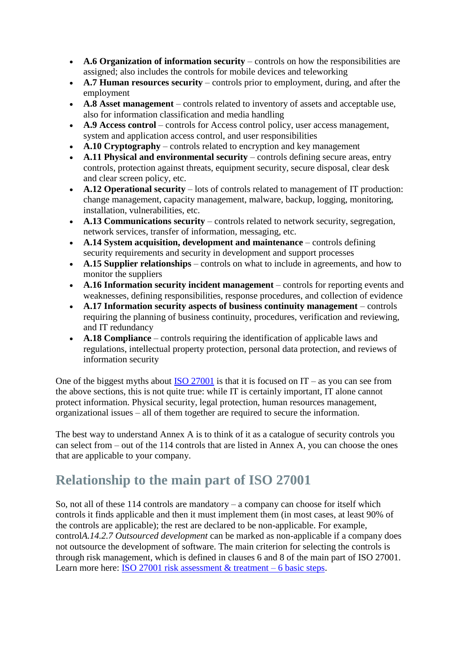- **A.6 Organization of information security** controls on how the responsibilities are assigned; also includes the controls for mobile devices and teleworking
- **A.7 Human resources security** controls prior to employment, during, and after the employment
- **A.8 Asset management** controls related to inventory of assets and acceptable use, also for information classification and media handling
- **A.9 Access control** controls for Access control policy, user access management, system and application access control, and user responsibilities
- **A.10 Cryptography** controls related to encryption and key management
- **A.11 Physical and environmental security** controls defining secure areas, entry controls, protection against threats, equipment security, secure disposal, clear desk and clear screen policy, etc.
- **A.12 Operational security** lots of controls related to management of IT production: change management, capacity management, malware, backup, logging, monitoring, installation, vulnerabilities, etc.
- **A.13 Communications security** controls related to network security, segregation, network services, transfer of information, messaging, etc.
- **A.14 System acquisition, development and maintenance** controls defining security requirements and security in development and support processes
- **A.15 Supplier relationships** controls on what to include in agreements, and how to monitor the suppliers
- **A.16 Information security incident management** controls for reporting events and weaknesses, defining responsibilities, response procedures, and collection of evidence
- **A.17 Information security aspects of business continuity management** controls requiring the planning of business continuity, procedures, verification and reviewing, and IT redundancy
- **A.18 Compliance** controls requiring the identification of applicable laws and regulations, intellectual property protection, personal data protection, and reviews of information security

One of the biggest myths about  $ISO 27001$  is that it is focused on  $IT - as$  you can see from the above sections, this is not quite true: while IT is certainly important, IT alone cannot protect information. Physical security, legal protection, human resources management, organizational issues – all of them together are required to secure the information.

The best way to understand Annex A is to think of it as a catalogue of security controls you can select from – out of the 114 controls that are listed in Annex A, you can choose the ones that are applicable to your company.

## **Relationship to the main part of ISO 27001**

So, not all of these  $114$  controls are mandatory – a company can choose for itself which controls it finds applicable and then it must implement them (in most cases, at least 90% of the controls are applicable); the rest are declared to be non-applicable. For example, control*A.14.2.7 Outsourced development* can be marked as non-applicable if a company does not outsource the development of software. The main criterion for selecting the controls is through risk management, which is defined in clauses 6 and 8 of the main part of ISO 27001. Learn more here: [ISO 27001 risk assessment & treatment –](https://advisera.com/27001academy/knowledgebase/iso-27001-risk-assessment-treatment-6-basic-steps/?icn=free-knowledgebase-27001&ici=bottom-iso-27001-risk-assessment-and-treatment-6-basic-steps-txt) 6 basic steps.